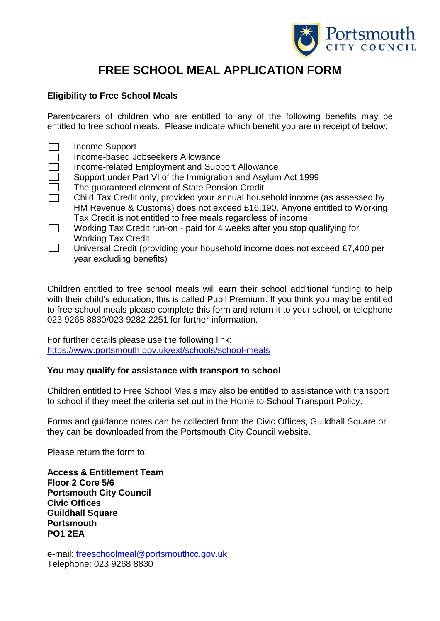

# **FREE SCHOOL MEAL APPLICATION FORM**

## **Eligibility to Free School Meals**

Parent/carers of children who are entitled to any of the following benefits may be entitled to free school meals. Please indicate which benefit you are in receipt of below:

- Income Support
- Income-based Jobseekers Allowance
- Income-related Employment and Support Allowance
- Support under Part VI of the Immigration and Asylum Act 1999
- The guaranteed element of State Pension Credit
- Child Tax Credit only, provided your annual household income (as assessed by HM Revenue & Customs) does not exceed £16,190. Anyone entitled to Working Tax Credit is not entitled to free meals regardless of income
- $\Box$ Working Tax Credit run-on - paid for 4 weeks after you stop qualifying for Working Tax Credit
- $\Box$ Universal Credit (providing your household income does not exceed £7,400 per year excluding benefits)

Children entitled to free school meals will earn their school additional funding to help with their child's education, this is called Pupil Premium. If you think you may be entitled to free school meals please complete this form and return it to your school, or telephone 023 9268 8830/023 9282 2251 for further information.

For further details please use the following link: <https://www.portsmouth.gov.uk/ext/schools/school-meals>

## **You may qualify for assistance with transport to school**

Children entitled to Free School Meals may also be entitled to assistance with transport to school if they meet the criteria set out in the Home to School Transport Policy.

Forms and guidance notes can be collected from the Civic Offices, Guildhall Square or they can be downloaded from the Portsmouth City Council website.

Please return the form to:

**Access & Entitlement Team Floor 2 Core 5/6 Portsmouth City Council Civic Offices Guildhall Square Portsmouth PO1 2EA**

e-mail: [freeschoolmeal@portsmouthcc.gov.uk](mailto:freeschoolmeal@portsmouthcc.gov.uk) Telephone: 023 9268 8830